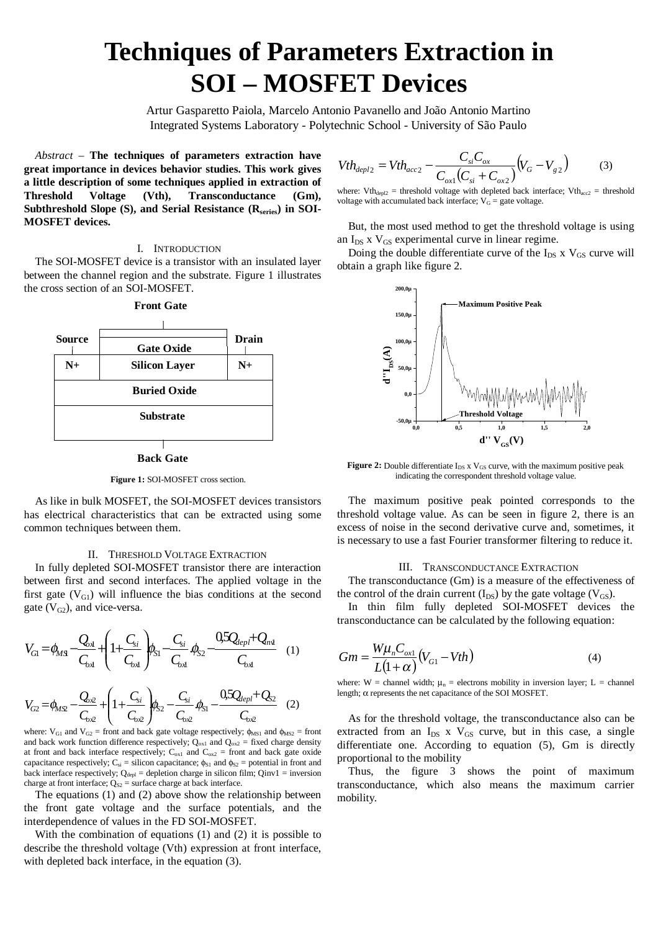# **Techniques of Parameters Extraction in SOI – MOSFET Devices**

Artur Gasparetto Paiola, Marcelo Antonio Pavanello and João Antonio Martino Integrated Systems Laboratory - Polytechnic School - University of São Paulo

*Abstract* – **The techniques of parameters extraction have great importance in devices behavior studies. This work gives a little description of some techniques applied in extraction of Threshold Voltage (Vth), Transconductance (Gm),** Subthreshold Slope (S), and Serial Resistance (R<sub>series</sub>) in SOI-**MOSFET devices.**

## I. INTRODUCTION

The SOI-MOSFET device is a transistor with an insulated layer between the channel region and the substrate. Figure 1 illustrates the cross section of an SOI-MOSFET.

 **Front Gate**



#### **Back Gate**

**Figure 1:** SOI-MOSFET cross section.

As like in bulk MOSFET, the SOI-MOSFET devices transistors has electrical characteristics that can be extracted using some common techniques between them.

### II. THRESHOLD VOLTAGE EXTRACTION

In fully depleted SOI-MOSFET transistor there are interaction between first and second interfaces. The applied voltage in the first gate  $(V_{GI})$  will influence the bias conditions at the second gate  $(V_{G2})$ , and vice-versa.

$$
V_{G1} = \phi_{M1} - \frac{Q_{o1}}{C_{o1}} + \left(1 + \frac{C_{si}}{C_{o1}}\right)\phi_{S1} - \frac{C_{si}}{C_{o1}}\phi_{S2} - \frac{0.5Q_{depl} + Q_{in1}}{C_{o1}} \quad (1)
$$

$$
V_{G2} = \phi_{M1} - \frac{Q_{o2}}{C_{o2}} + \left(1 + \frac{C_{si}}{C_{o2}}\right)\phi_{S2} - \frac{C_{si}}{C_{o2}}\phi_{S1} - \frac{0.5Q_{depl} + Q_{S2}}{C_{o2}} \quad (2)
$$

where:  $V_{G1}$  and  $V_{G2}$  = front and back gate voltage respectively;  $\phi_{MS1}$  and  $\phi_{MS2}$  = front and back work function difference respectively;  $Q_{ox1}$  and  $Q_{ox2}$  = fixed charge density at front and back interface respectively;  $C_{ox1}$  and  $C_{ox2}$  = front and back gate oxide capacitance respectively;  $C_{si}$  = silicon capacitance;  $\phi_{S1}$  and  $\phi_{S2}$  = potential in front and back interface respectively;  $Q_{den}$  = depletion charge in silicon film;  $Qinv1$  = inversion charge at front interface;  $Q_{S2}$  = surface charge at back interface.

2

*ox*

The equations (1) and (2) above show the relationship between the front gate voltage and the surface potentials, and the interdependence of values in the FD SOI-MOSFET.

With the combination of equations (1) and (2) it is possible to describe the threshold voltage (Vth) expression at front interface, with depleted back interface, in the equation (3).

$$
Vth_{depl2} = Vth_{acc2} - \frac{C_{si}C_{ox}}{C_{ox1}(C_{si} + C_{ox2})}(V_G - V_{g2})
$$
 (3)

where: Vth<sub>depl2</sub> = threshold voltage with depleted back interface; Vth<sub>acc2</sub> = threshold voltage with accumulated back interface;  $V_G$  = gate voltage.

But, the most used method to get the threshold voltage is using an  $I_{DS}$  x  $V_{GS}$  experimental curve in linear regime.

Doing the double differentiate curve of the  $I_{DS}$  x  $V_{GS}$  curve will obtain a graph like figure 2.



**Figure 2:** Double differentiate  $I_{DS}$  x  $V_{GS}$  curve, with the maximum positive peak indicating the correspondent threshold voltage value.

The maximum positive peak pointed corresponds to the threshold voltage value. As can be seen in figure 2, there is an excess of noise in the second derivative curve and, sometimes, it is necessary to use a fast Fourier transformer filtering to reduce it.

#### III. TRANSCONDUCTANCE EXTRACTION

The transconductance (Gm) is a measure of the effectiveness of the control of the drain current  $(I_{DS})$  by the gate voltage  $(V_{GS})$ .

In thin film fully depleted SOI-MOSFET devices the transconductance can be calculated by the following equation:

$$
Gm = \frac{W\mu_n C_{ox1}}{L(1+\alpha)} (V_{G1} - Vth)
$$
\n(4)

where: W = channel width;  $\mu_n$  = electrons mobility in inversion layer; L = channel length;  $\alpha$  represents the net capacitance of the SOI MOSFET.

As for the threshold voltage, the transconductance also can be extracted from an  $I_{DS}$  x  $V_{GS}$  curve, but in this case, a single differentiate one. According to equation (5), Gm is directly proportional to the mobility

Thus, the figure 3 shows the point of maximum transconductance, which also means the maximum carrier mobility.